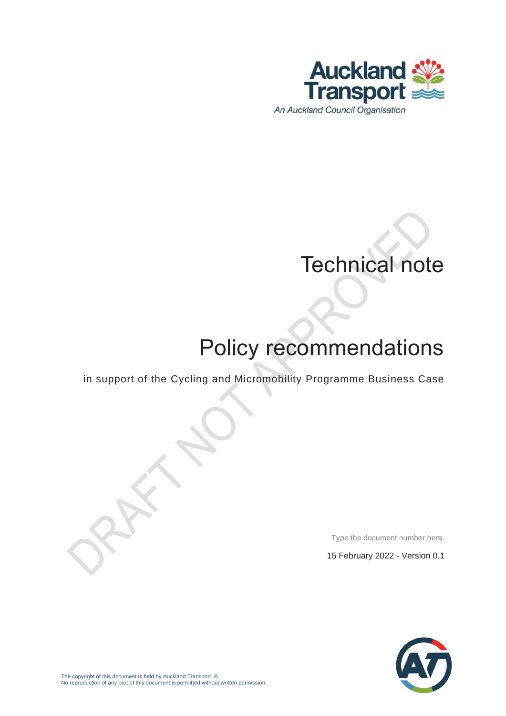

# Technical note

# Policy recommendations

in support of the Cycling and Micromobility Programme Business Case

Type the document number here.

15 February 2022 - Version 0.1

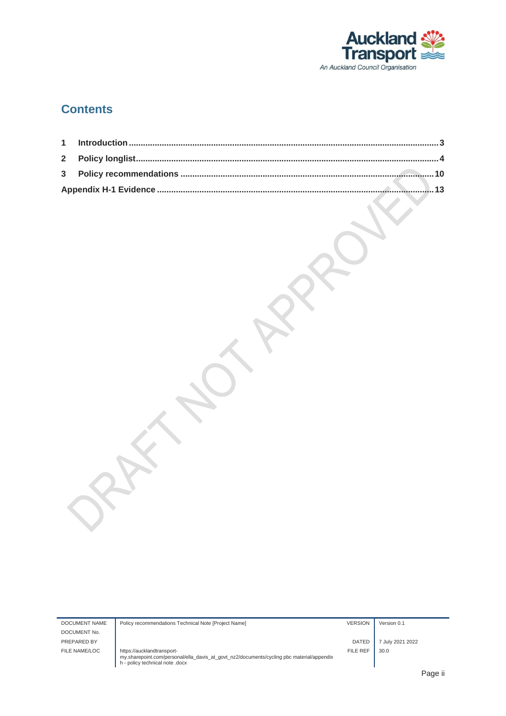

### **Contents**

| DOCUMENT NAME | Policy recommendations Technical Note [Project Name]                                                                                                       | <b>VERSION</b> | Version 0.1      |
|---------------|------------------------------------------------------------------------------------------------------------------------------------------------------------|----------------|------------------|
| DOCUMENT No.  |                                                                                                                                                            |                |                  |
| PREPARED BY   |                                                                                                                                                            | <b>DATED</b>   | July 2021 2022   |
| FILE NAME/LOC | https://aucklandtransport-<br>my.sharepoint.com/personal/ella davis at govt nz2/documents/cycling pbc material/appendix<br>h - policy technical note .docx | FILE REF       | 30.0             |
|               |                                                                                                                                                            |                | <b>D</b> - - - 1 |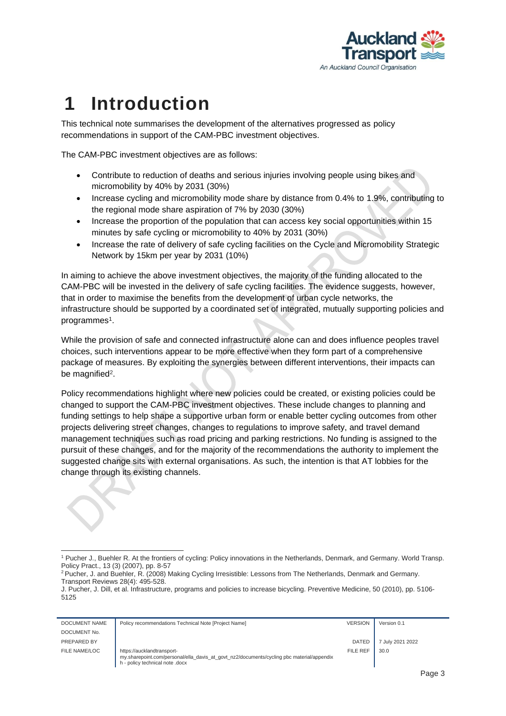

### <span id="page-2-0"></span>**1 Introduction**

This technical note summarises the development of the alternatives progressed as policy recommendations in support of the CAM-PBC investment objectives.

The CAM-PBC investment objectives are as follows:

- Contribute to reduction of deaths and serious injuries involving people using bikes and micromobility by 40% by 2031 (30%)
- Increase cycling and micromobility mode share by distance from 0.4% to 1.9%, contributing to the regional mode share aspiration of 7% by 2030 (30%)
- Increase the proportion of the population that can access key social opportunities within 15 minutes by safe cycling or micromobility to 40% by 2031 (30%)
- Increase the rate of delivery of safe cycling facilities on the Cycle and Micromobility Strategic Network by 15km per year by 2031 (10%)

In aiming to achieve the above investment objectives, the majority of the funding allocated to the CAM-PBC will be invested in the delivery of safe cycling facilities. The evidence suggests, however, that in order to maximise the benefits from the development of urban cycle networks, the infrastructure should be supported by a coordinated set of integrated, mutually supporting policies and programmes<sup>1</sup>.

While the provision of safe and connected infrastructure alone can and does influence peoples travel choices, such interventions appear to be more effective when they form part of a comprehensive package of measures. By exploiting the synergies between different interventions, their impacts can be magnified<sup>2</sup>.

Policy recommendations highlight where new policies could be created, or existing policies could be changed to support the CAM-PBC investment objectives. These include changes to planning and funding settings to help shape a supportive urban form or enable better cycling outcomes from other projects delivering street changes, changes to regulations to improve safety, and travel demand management techniques such as road pricing and parking restrictions. No funding is assigned to the pursuit of these changes, and for the majority of the recommendations the authority to implement the suggested change sits with external organisations. As such, the intention is that AT lobbies for the change through its existing channels.

J. Pucher, J. Dill, et al. Infrastructure, programs and policies to increase bicycling. Preventive Medicine, 50 (2010), pp. 5106- 5125

| DOCUMENT NAME | Policy recommendations Technical Note [Project Name]                                                                                                       | <b>VERSION</b> | Version 0.1      |
|---------------|------------------------------------------------------------------------------------------------------------------------------------------------------------|----------------|------------------|
| DOCUMENT No.  |                                                                                                                                                            |                |                  |
| PREPARED BY   |                                                                                                                                                            | <b>DATED</b>   | 7 July 2021 2022 |
| FILE NAME/LOC | https://aucklandtransport-<br>my.sharepoint.com/personal/ella davis at govt nz2/documents/cycling pbc material/appendix<br>h - policy technical note .docx | FILE REF       | 30.0             |

<sup>1</sup> Pucher J., Buehler R. At the frontiers of cycling: Policy innovations in the Netherlands, Denmark, and Germany. World Transp. Policy Pract., 13 (3) (2007), pp. 8-57

<sup>&</sup>lt;sup>2</sup> Pucher, J. and Buehler, R. (2008) Making Cycling Irresistible: Lessons from The Netherlands, Denmark and Germany. Transport Reviews 28(4): 495-528.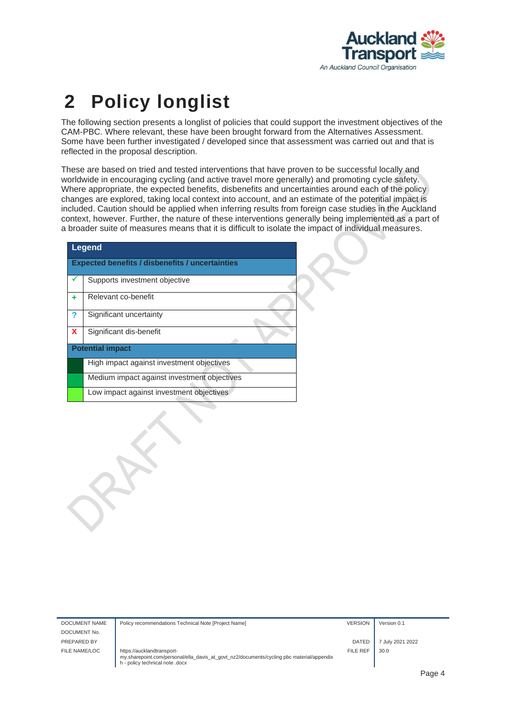

## <span id="page-3-0"></span>**2 Policy longlist**

The following section presents a longlist of policies that could support the investment objectives of the CAM-PBC. Where relevant, these have been brought forward from the Alternatives Assessment. Some have been further investigated / developed since that assessment was carried out and that is reflected in the proposal description.

These are based on tried and tested interventions that have proven to be successful locally and worldwide in encouraging cycling (and active travel more generally) and promoting cycle safety. Where appropriate, the expected benefits, disbenefits and uncertainties around each of the policy changes are explored, taking local context into account, and an estimate of the potential impact is included. Caution should be applied when inferring results from foreign case studies in the Auckland context, however. Further, the nature of these interventions generally being implemented as a part of a broader suite of measures means that it is difficult to isolate the impact of individual measures.

| Legend |                                                        |  |  |  |  |  |  |  |
|--------|--------------------------------------------------------|--|--|--|--|--|--|--|
|        | <b>Expected benefits / disbenefits / uncertainties</b> |  |  |  |  |  |  |  |
|        | Supports investment objective                          |  |  |  |  |  |  |  |
| ٠      | Relevant co-benefit                                    |  |  |  |  |  |  |  |
| ?      | Significant uncertainty                                |  |  |  |  |  |  |  |
| X      | Significant dis-benefit                                |  |  |  |  |  |  |  |
|        | <b>Potential impact</b>                                |  |  |  |  |  |  |  |
|        | High impact against investment objectives              |  |  |  |  |  |  |  |
|        | Medium impact against investment objectives            |  |  |  |  |  |  |  |
|        | Low impact against investment objectives               |  |  |  |  |  |  |  |

| DOCUMENT NAME | Policy recommendations Technical Note [Project Name]                                                                                                       | <b>VERSION</b> | Version 0.1      |
|---------------|------------------------------------------------------------------------------------------------------------------------------------------------------------|----------------|------------------|
| DOCUMENT No.  |                                                                                                                                                            |                |                  |
| PREPARED BY   |                                                                                                                                                            | <b>DATED</b>   | 7 July 2021 2022 |
| FILE NAME/LOC | https://aucklandtransport-<br>my.sharepoint.com/personal/ella_davis_at_govt_nz2/documents/cycling pbc material/appendix<br>h - policy technical note .docx | FILE REF       | 30.0             |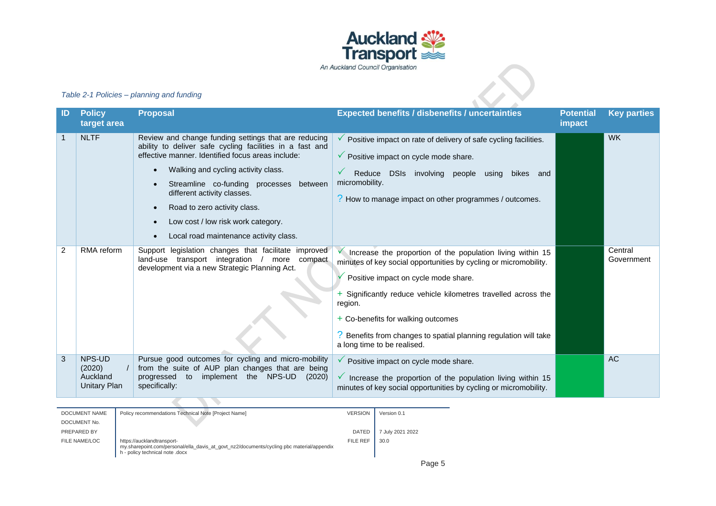

#### *Table 2-1 Policies – planning and funding*

|                                                                                                                                                                        |                                              | Table 2-1 Policies - planning and funding                                                                                                                                                                                                                                                                                                                                                                                        | in Auchland Council Organisation                                                                                                                                                                                                                                                                                                                                                                          |                       |  |  |  |
|------------------------------------------------------------------------------------------------------------------------------------------------------------------------|----------------------------------------------|----------------------------------------------------------------------------------------------------------------------------------------------------------------------------------------------------------------------------------------------------------------------------------------------------------------------------------------------------------------------------------------------------------------------------------|-----------------------------------------------------------------------------------------------------------------------------------------------------------------------------------------------------------------------------------------------------------------------------------------------------------------------------------------------------------------------------------------------------------|-----------------------|--|--|--|
| ID                                                                                                                                                                     | <b>Policy</b><br>target area                 | <b>Proposal</b>                                                                                                                                                                                                                                                                                                                                                                                                                  | <b>Expected benefits / disbenefits / uncertainties</b><br><b>Potential</b><br>impact                                                                                                                                                                                                                                                                                                                      | <b>Key parties</b>    |  |  |  |
|                                                                                                                                                                        | <b>NLTF</b>                                  | Review and change funding settings that are reducing<br>ability to deliver safe cycling facilities in a fast and<br>effective manner. Identified focus areas include:<br>Walking and cycling activity class.<br>$\bullet$<br>Streamline co-funding processes between<br>different activity classes.<br>Road to zero activity class.<br>$\bullet$<br>Low cost / low risk work category.<br>Local road maintenance activity class. | Positive impact on rate of delivery of safe cycling facilities.<br>$\checkmark$ Positive impact on cycle mode share.<br>✓<br>Reduce DSIs involving people using bikes and<br>micromobility.<br>? How to manage impact on other programmes / outcomes.                                                                                                                                                     | <b>WK</b>             |  |  |  |
| 2                                                                                                                                                                      | RMA reform                                   | Support legislation changes that facilitate improved<br>land-use transport integration / more compact<br>development via a new Strategic Planning Act.                                                                                                                                                                                                                                                                           | $\checkmark$ Increase the proportion of the population living within 15<br>minutes of key social opportunities by cycling or micromobility.<br>Positive impact on cycle mode share.<br>+ Significantly reduce vehicle kilometres travelled across the<br>region.<br>+ Co-benefits for walking outcomes<br>? Benefits from changes to spatial planning regulation will take<br>a long time to be realised. | Central<br>Government |  |  |  |
| 3                                                                                                                                                                      | NPS-UD<br>(2020)<br>Auckland<br>Unitary Plan | Pursue good outcomes for cycling and micro-mobility<br>from the suite of AUP plan changes that are being<br>progressed to implement the NPS-UD (2020)<br>specifically:                                                                                                                                                                                                                                                           | $\checkmark$ Positive impact on cycle mode share.<br>$\checkmark$ Increase the proportion of the population living within 15<br>minutes of key social opportunities by cycling or micromobility.                                                                                                                                                                                                          | AC                    |  |  |  |
| <b>DOCUMENT NAME</b><br>Policy recommendations Technical Note [Project Name]<br><b>VERSION</b><br>Version 0.1<br>DOCUMENT No.<br>PREPARED BY<br>DATED 7 July 2021 2022 |                                              |                                                                                                                                                                                                                                                                                                                                                                                                                                  |                                                                                                                                                                                                                                                                                                                                                                                                           |                       |  |  |  |

FILE NAME/LOC | https://aucklandtransportmy.sharepoint.com/personal/ella\_davis\_at\_govt\_nz2/documents/cycling pbc material/appendix h - policy technical note .docx FILE REF  $\Big|$  30.0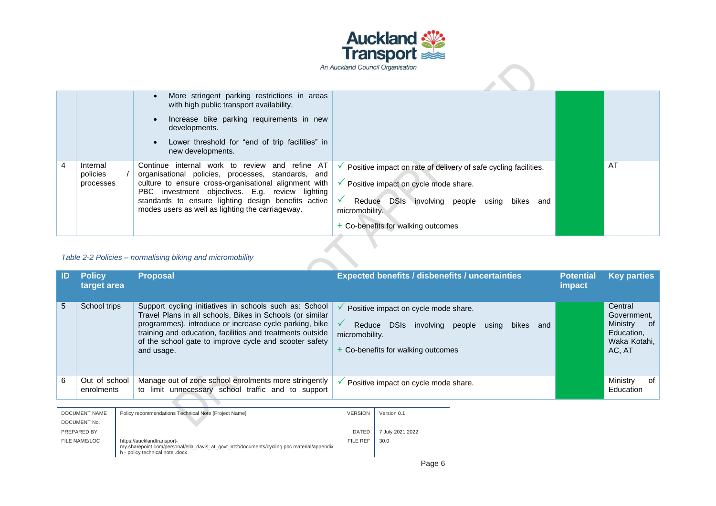

|   |                                   | More stringent parking restrictions in areas<br>with high public transport availability.<br>Increase bike parking requirements in new<br>developments.                                                                                                                                                                         |                                                                                                                                                                                                                            |    |
|---|-----------------------------------|--------------------------------------------------------------------------------------------------------------------------------------------------------------------------------------------------------------------------------------------------------------------------------------------------------------------------------|----------------------------------------------------------------------------------------------------------------------------------------------------------------------------------------------------------------------------|----|
|   |                                   | Lower threshold for "end of trip facilities" in<br>new developments.                                                                                                                                                                                                                                                           |                                                                                                                                                                                                                            |    |
| 4 | Internal<br>policies<br>processes | and refine AT<br>Continue internal work to review<br>organisational policies, processes, standards, and<br>culture to ensure cross-organisational alignment with<br>PBC investment objectives. E.g. review lighting<br>standards to ensure lighting design benefits active<br>modes users as well as lighting the carriageway. | Positive impact on rate of delivery of safe cycling facilities.<br>✓<br>Positive impact on cycle mode share.<br>DSIs involving people using bikes<br>Reduce<br>and<br>micromobility.<br>+ Co-benefits for walking outcomes | AT |
|   | <del>.</del>                      |                                                                                                                                                                                                                                                                                                                                |                                                                                                                                                                                                                            |    |

#### *Table 2-2 Policies – normalising biking and micromobility*

| -ID | <b>Policy</b><br>target area | <b>Proposal</b>                                                                                                                                                                                                                                                                                                    | <b>Expected benefits / disbenefits / uncertainties</b>                                                                                                   | <b>Potential</b><br><i>impact</i> | <b>Key parties</b>                                                                |
|-----|------------------------------|--------------------------------------------------------------------------------------------------------------------------------------------------------------------------------------------------------------------------------------------------------------------------------------------------------------------|----------------------------------------------------------------------------------------------------------------------------------------------------------|-----------------------------------|-----------------------------------------------------------------------------------|
| 5   | School trips                 | Support cycling initiatives in schools such as: School<br>Travel Plans in all schools, Bikes in Schools (or similar<br>programmes), introduce or increase cycle parking, bike<br>training and education, facilities and treatments outside<br>of the school gate to improve cycle and scooter safety<br>and usage. | Positive impact on cycle mode share.<br>DSIs involving people<br>Reduce<br>and<br>using<br>bikes<br>micromobility.<br>+ Co-benefits for walking outcomes |                                   | Central<br>Government,<br>Ministry<br>_of<br>Education,<br>Waka Kotahi.<br>AC, AT |
| 6   | Out of school<br>enrolments  | Manage out of zone school enrolments more stringently<br>to limit unnecessary school traffic and to support                                                                                                                                                                                                        | Positive impact on cycle mode share.                                                                                                                     |                                   | Ministry<br>оf<br>Education                                                       |

| DOCUMENT NAME | Policy recommendations Technical Note [Project Name]                                                                                                       | <b>VERSION</b> | Version 0.1      |
|---------------|------------------------------------------------------------------------------------------------------------------------------------------------------------|----------------|------------------|
| DOCUMENT No.  |                                                                                                                                                            |                |                  |
| PREPARED BY   |                                                                                                                                                            | <b>DATED</b>   | 7 July 2021 2022 |
| FILE NAME/LOC | https://aucklandtransport-<br>my.sharepoint.com/personal/ella_davis_at_govt_nz2/documents/cycling pbc material/appendix<br>h - policy technical note .docx | FILE REF       | 30.0             |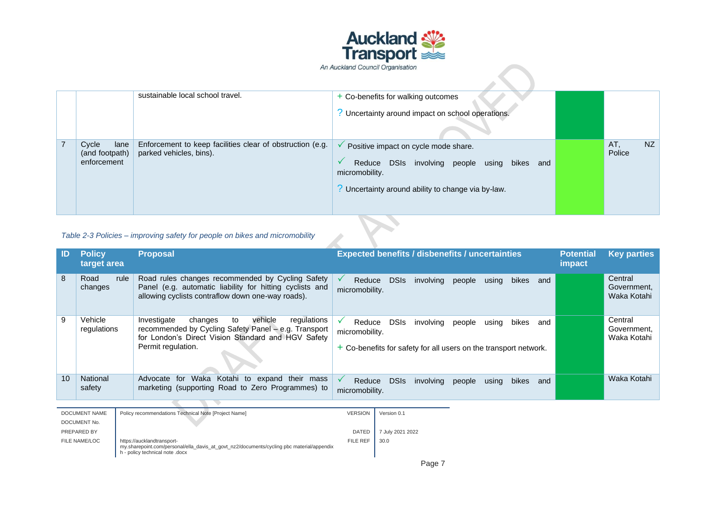

|                |                                                                             | sustainable local school travel.                                                     | + Co-benefits for walking outcomes<br>? Uncertainty around impact on school operations.                                                                    |  |               |    |  |
|----------------|-----------------------------------------------------------------------------|--------------------------------------------------------------------------------------|------------------------------------------------------------------------------------------------------------------------------------------------------------|--|---------------|----|--|
| $\overline{7}$ | Cycle<br>lane<br>(and footpath)<br>enforcement                              | Enforcement to keep facilities clear of obstruction (e.g.<br>parked vehicles, bins). | Positive impact on cycle mode share.<br>Reduce DSIs involving people using bikes and<br>micromobility.<br>Uncertainty around ability to change via by-law. |  | AT.<br>Police | NZ |  |
|                | Table 2-3 Policies – improving safety for people on bikes and micromobility |                                                                                      |                                                                                                                                                            |  |               |    |  |

| Table 2-3 Policies – improving safety for people on bikes and micromobility |                              |      |                                                                                                                                                                                            |                                                                                                                          |                                                        |           |        |       |       |                            |                                       |                                       |
|-----------------------------------------------------------------------------|------------------------------|------|--------------------------------------------------------------------------------------------------------------------------------------------------------------------------------------------|--------------------------------------------------------------------------------------------------------------------------|--------------------------------------------------------|-----------|--------|-------|-------|----------------------------|---------------------------------------|---------------------------------------|
| <b>ID</b>                                                                   | <b>Policy</b><br>target area |      | <b>Proposal</b>                                                                                                                                                                            |                                                                                                                          | <b>Expected benefits / disbenefits / uncertainties</b> |           |        |       |       | <b>Potential</b><br>impact | <b>Key parties</b>                    |                                       |
| 8                                                                           | Road<br>changes              | rule | Road rules changes recommended by Cycling Safety<br>Panel (e.g. automatic liability for hitting cyclists and<br>allowing cyclists contraflow down one-way roads).                          | ✓<br>Reduce<br>micromobility.                                                                                            | <b>DSIs</b>                                            | involving | people | using | bikes | and                        |                                       | Central<br>Government.<br>Waka Kotahi |
| 9                                                                           | Vehicle<br>regulations       |      | Investigate<br>vehicle<br>regulations<br>changes<br>to<br>recommended by Cycling Safety Panel - e.g. Transport<br>for London's Direct Vision Standard and HGV Safety<br>Permit regulation. | ✓<br>DSIs<br>Reduce<br>involving<br>micromobility.<br>$+$ Co-benefits for safety for all users on the transport network. |                                                        | people    | usina  | bikes | and   |                            | Central<br>Government.<br>Waka Kotahi |                                       |
| 10                                                                          | <b>National</b><br>safety    |      | Waka Kotahi to expand their mass<br>Advocate<br>for<br>marketing (supporting Road to Zero Programmes) to                                                                                   | ✓<br>Reduce<br>micromobility.                                                                                            | <b>DSIs</b>                                            | involving | people | using | bikes | and                        |                                       | Waka Kotahi                           |
|                                                                             |                              |      |                                                                                                                                                                                            |                                                                                                                          |                                                        |           |        |       |       |                            |                                       |                                       |
|                                                                             | <b>DOCUMENT NAME</b>         |      | Policy recommendations Technical Note [Project Name]                                                                                                                                       | <b>VERSION</b>                                                                                                           | Version 0.1                                            |           |        |       |       |                            |                                       |                                       |
|                                                                             | DOCUMENT No.                 |      |                                                                                                                                                                                            |                                                                                                                          |                                                        |           |        |       |       |                            |                                       |                                       |
|                                                                             | PREPARED BY                  |      |                                                                                                                                                                                            | <b>DATED</b>                                                                                                             | 7 July 2021 2022                                       |           |        |       |       |                            |                                       |                                       |
| FILE NAME/LOC                                                               |                              |      | https://aucklandtransport-<br>my.sharepoint.com/personal/ella_davis_at_govt_nz2/documents/cycling pbc material/appendix<br>h - policy technical note .docx                                 | <b>FILE REF</b>                                                                                                          | 30.0                                                   |           |        |       |       |                            |                                       |                                       |

Page 7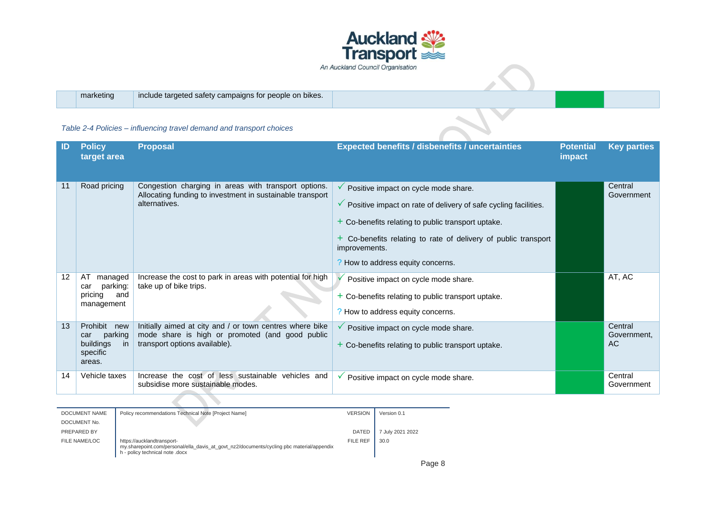

|  | marketing |  |
|--|-----------|--|
|  |           |  |

include targeted safety campaigns for people on bikes.

#### *Table 2-4 Policies – influencing travel demand and transport choices*

| ID | <b>Policy</b><br>target area                                             | <b>Proposal</b>                                                                                                                              | <b>Expected benefits / disbenefits / uncertainties</b>                                                                                                                                                                                                                                                            | <b>Potential</b><br>impact | <b>Key parties</b>            |
|----|--------------------------------------------------------------------------|----------------------------------------------------------------------------------------------------------------------------------------------|-------------------------------------------------------------------------------------------------------------------------------------------------------------------------------------------------------------------------------------------------------------------------------------------------------------------|----------------------------|-------------------------------|
| 11 | Road pricing                                                             | Congestion charging in areas with transport options.<br>Allocating funding to investment in sustainable transport<br>alternatives.           | $\checkmark$ Positive impact on cycle mode share.<br>$\checkmark$ Positive impact on rate of delivery of safe cycling facilities.<br>$+$ Co-benefits relating to public transport uptake.<br>+ Co-benefits relating to rate of delivery of public transport<br>improvements.<br>? How to address equity concerns. |                            | Central<br>Government         |
| 12 | AT<br>managed<br>parking:<br>car<br>pricing<br>and<br>management         | Increase the cost to park in areas with potential for high<br>take up of bike trips.                                                         | Positive impact on cycle mode share.<br>$+$ Co-benefits relating to public transport uptake.<br>? How to address equity concerns.                                                                                                                                                                                 |                            | AT, AC                        |
| 13 | Prohibit new<br>parking<br>car<br>buildings<br>-in<br>specific<br>areas. | Initially aimed at city and / or town centres where bike<br>mode share is high or promoted (and good public<br>transport options available). | $\checkmark$ Positive impact on cycle mode share.<br>$+$ Co-benefits relating to public transport uptake.                                                                                                                                                                                                         |                            | Central<br>Government.<br>AC. |
| 14 | Vehicle taxes                                                            | Increase the cost of less sustainable vehicles and<br>subsidise more sustainable modes.                                                      | ✓<br>Positive impact on cycle mode share.                                                                                                                                                                                                                                                                         |                            | Central<br>Government         |

| DOCUMENT NAME | Policy recommendations Technical Note [Project Name]                                                                                                       | <b>VERSION</b> | Version 0.1      |
|---------------|------------------------------------------------------------------------------------------------------------------------------------------------------------|----------------|------------------|
| DOCUMENT No.  |                                                                                                                                                            |                |                  |
| PREPARED BY   |                                                                                                                                                            | <b>DATED</b>   | 7 July 2021 2022 |
| FILE NAME/LOC | https://aucklandtransport-<br>my.sharepoint.com/personal/ella_davis_at_govt_nz2/documents/cycling pbc material/appendix<br>h - policy technical note .docx | FILE REF       | 30.0             |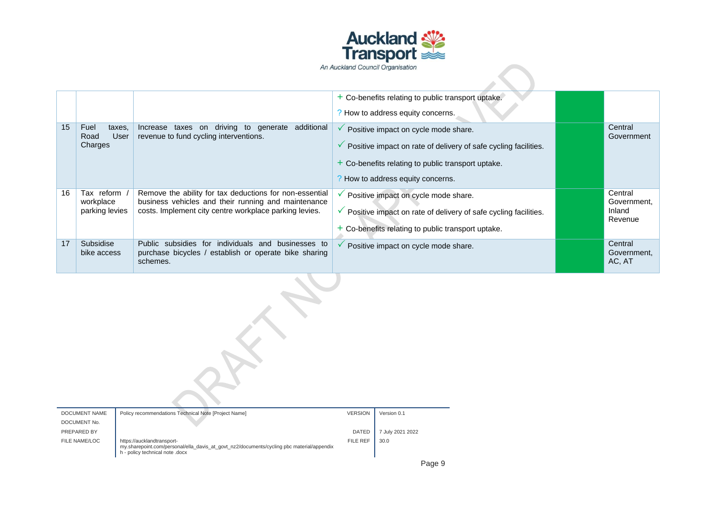

|    |                                           |                                                                                                                                                                          | + Co-benefits relating to public transport uptake.<br>? How to address equity concerns.                                                                                                                         |                                             |
|----|-------------------------------------------|--------------------------------------------------------------------------------------------------------------------------------------------------------------------------|-----------------------------------------------------------------------------------------------------------------------------------------------------------------------------------------------------------------|---------------------------------------------|
| 15 | Fuel<br>taxes,<br>User<br>Road<br>Charges | Increase taxes on driving to generate<br>additional<br>revenue to fund cycling interventions.                                                                            | Positive impact on cycle mode share.<br>$\checkmark$ Positive impact on rate of delivery of safe cycling facilities.<br>+ Co-benefits relating to public transport uptake.<br>? How to address equity concerns. | Central<br>Government                       |
| 16 | Tax reform<br>workplace<br>parking levies | Remove the ability for tax deductions for non-essential<br>business vehicles and their running and maintenance<br>costs. Implement city centre workplace parking levies. | Positive impact on cycle mode share.<br>$\checkmark$ Positive impact on rate of delivery of safe cycling facilities.<br>+ Co-benefits relating to public transport uptake.                                      | Central<br>Government,<br>Inland<br>Revenue |
| 17 | Subsidise<br>bike access                  | Public subsidies for individuals and businesses to<br>purchase bicycles / establish or operate bike sharing<br>schemes.                                                  | Positive impact on cycle mode share.                                                                                                                                                                            | Central<br>Government,<br>AC, AT            |
|    |                                           |                                                                                                                                                                          |                                                                                                                                                                                                                 |                                             |

| <b>DOCUMENT NAME</b> | Policy recommendations Technical Note [Project Name]                                                                                                       | <b>VERSION</b>  | Version 0.1      |
|----------------------|------------------------------------------------------------------------------------------------------------------------------------------------------------|-----------------|------------------|
| DOCUMENT No.         |                                                                                                                                                            |                 |                  |
| PREPARED BY          |                                                                                                                                                            | <b>DATED</b>    | 7 July 2021 2022 |
| FILE NAME/LOC        | https://aucklandtransport-<br>my.sharepoint.com/personal/ella_davis_at_govt_nz2/documents/cycling pbc material/appendix<br>h - policy technical note .docx | <b>FILE REF</b> | 30.0             |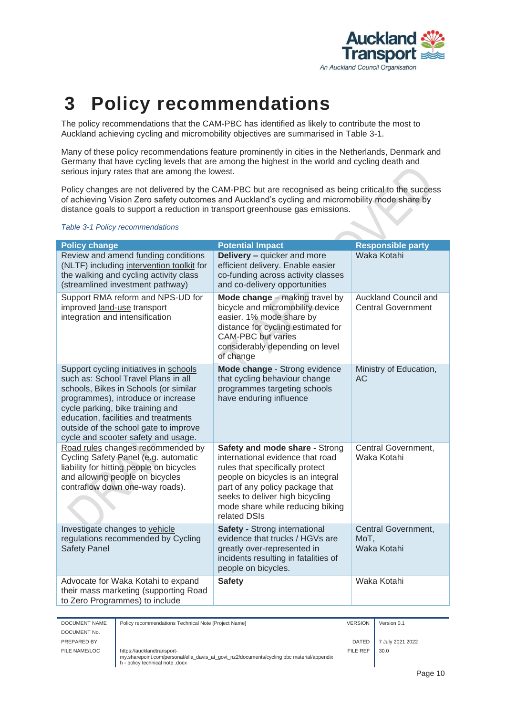

### <span id="page-9-0"></span>**3 Policy recommendations**

The policy recommendations that the CAM-PBC has identified as likely to contribute the most to Auckland achieving cycling and micromobility objectives are summarised in [Table 3-1.](#page-9-1)

Many of these policy recommendations feature prominently in cities in the Netherlands, Denmark and Germany that have cycling levels that are among the highest in the world and cycling death and serious injury rates that are among the lowest.

Policy changes are not delivered by the CAM-PBC but are recognised as being critical to the success of achieving Vision Zero safety outcomes and Auckland's cycling and micromobility mode share by distance goals to support a reduction in transport greenhouse gas emissions.

#### <span id="page-9-1"></span>*Table 3-1 Policy recommendations*

| <b>Policy change</b>                                                                                                                                                                                                                                                                                                     | <b>Potential Impact</b>                                                                                                                                                                                                                                              | <b>Responsible party</b>                          |
|--------------------------------------------------------------------------------------------------------------------------------------------------------------------------------------------------------------------------------------------------------------------------------------------------------------------------|----------------------------------------------------------------------------------------------------------------------------------------------------------------------------------------------------------------------------------------------------------------------|---------------------------------------------------|
| Review and amend funding conditions<br>(NLTF) including intervention toolkit for<br>the walking and cycling activity class<br>(streamlined investment pathway)                                                                                                                                                           | <b>Delivery - quicker and more</b><br>efficient delivery. Enable easier<br>co-funding across activity classes<br>and co-delivery opportunities                                                                                                                       | Waka Kotahi                                       |
| Support RMA reform and NPS-UD for<br>improved land-use transport<br>integration and intensification                                                                                                                                                                                                                      | Mode change - making travel by<br>bicycle and micromobility device<br>easier. 1% mode share by<br>distance for cycling estimated for<br><b>CAM-PBC</b> but varies<br>considerably depending on level<br>of change                                                    | Auckland Council and<br><b>Central Government</b> |
| Support cycling initiatives in schools<br>such as: School Travel Plans in all<br>schools, Bikes in Schools (or similar<br>programmes), introduce or increase<br>cycle parking, bike training and<br>education, facilities and treatments<br>outside of the school gate to improve<br>cycle and scooter safety and usage. | Mode change - Strong evidence<br>that cycling behaviour change<br>programmes targeting schools<br>have enduring influence                                                                                                                                            | Ministry of Education,<br><b>AC</b>               |
| Road rules changes recommended by<br>Cycling Safety Panel (e.g. automatic<br>liability for hitting people on bicycles<br>and allowing people on bicycles<br>contraflow down one-way roads).                                                                                                                              | Safety and mode share - Strong<br>international evidence that road<br>rules that specifically protect<br>people on bicycles is an integral<br>part of any policy package that<br>seeks to deliver high bicycling<br>mode share while reducing biking<br>related DSIs | Central Government,<br>Waka Kotahi                |
| Investigate changes to vehicle<br>regulations recommended by Cycling<br><b>Safety Panel</b>                                                                                                                                                                                                                              | <b>Safety - Strong international</b><br>evidence that trucks / HGVs are<br>greatly over-represented in<br>incidents resulting in fatalities of<br>people on bicycles.                                                                                                | Central Government,<br>MoT,<br>Waka Kotahi        |
| Advocate for Waka Kotahi to expand<br>their mass marketing (supporting Road<br>to Zero Programmes) to include                                                                                                                                                                                                            | <b>Safety</b>                                                                                                                                                                                                                                                        | Waka Kotahi                                       |

| DOCUMENT NAME | Policy recommendations Technical Note [Project Name]                                                                                                       | <b>VERSION</b> | Version 0.1      |
|---------------|------------------------------------------------------------------------------------------------------------------------------------------------------------|----------------|------------------|
| DOCUMENT No.  |                                                                                                                                                            |                |                  |
| PREPARED BY   |                                                                                                                                                            | <b>DATED</b>   | 7 July 2021 2022 |
| FILE NAME/LOC | https://aucklandtransport-<br>my.sharepoint.com/personal/ella davis at govt nz2/documents/cycling pbc material/appendix<br>h - policy technical note .docx | FILE REF       | 30.0             |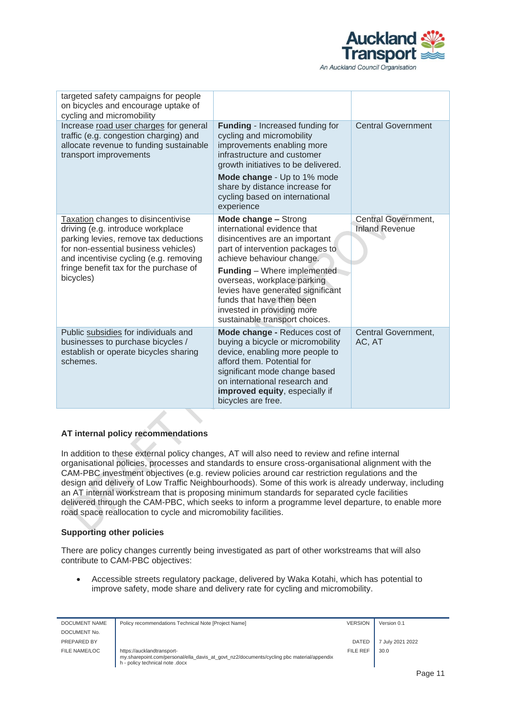

| targeted safety campaigns for people<br>on bicycles and encourage uptake of<br>cycling and micromobility                                                                                                                                                  |                                                                                                                                                                                                                                                                                                                                                               |                                              |
|-----------------------------------------------------------------------------------------------------------------------------------------------------------------------------------------------------------------------------------------------------------|---------------------------------------------------------------------------------------------------------------------------------------------------------------------------------------------------------------------------------------------------------------------------------------------------------------------------------------------------------------|----------------------------------------------|
| Increase road user charges for general<br>traffic (e.g. congestion charging) and<br>allocate revenue to funding sustainable<br>transport improvements                                                                                                     | <b>Funding</b> - Increased funding for<br>cycling and micromobility<br>improvements enabling more<br>infrastructure and customer<br>growth initiatives to be delivered.                                                                                                                                                                                       | <b>Central Government</b>                    |
|                                                                                                                                                                                                                                                           | Mode change - Up to 1% mode<br>share by distance increase for<br>cycling based on international<br>experience                                                                                                                                                                                                                                                 |                                              |
| Taxation changes to disincentivise<br>driving (e.g. introduce workplace<br>parking levies, remove tax deductions<br>for non-essential business vehicles)<br>and incentivise cycling (e.g. removing<br>fringe benefit tax for the purchase of<br>bicycles) | Mode change - Strong<br>international evidence that<br>disincentives are an important<br>part of intervention packages to<br>achieve behaviour change.<br><b>Funding</b> - Where implemented<br>overseas, workplace parking<br>levies have generated significant<br>funds that have then been<br>invested in providing more<br>sustainable transport choices. | Central Government,<br><b>Inland Revenue</b> |
| Public subsidies for individuals and<br>businesses to purchase bicycles /<br>establish or operate bicycles sharing<br>schemes.                                                                                                                            | Mode change - Reduces cost of<br>buying a bicycle or micromobility<br>device, enabling more people to<br>afford them. Potential for<br>significant mode change based<br>on international research and<br>improved equity, especially if<br>bicycles are free.                                                                                                 | Central Government,<br>AC, AT                |

#### **AT internal policy recommendations**

In addition to these external policy changes, AT will also need to review and refine internal organisational policies, processes and standards to ensure cross-organisational alignment with the CAM-PBC investment objectives (e.g. review policies around car restriction regulations and the design and delivery of Low Traffic Neighbourhoods). Some of this work is already underway, including an AT internal workstream that is proposing minimum standards for separated cycle facilities delivered through the CAM-PBC, which seeks to inform a programme level departure, to enable more road space reallocation to cycle and micromobility facilities.

#### **Supporting other policies**

There are policy changes currently being investigated as part of other workstreams that will also contribute to CAM-PBC objectives:

• Accessible streets regulatory package, delivered by Waka Kotahi, which has potential to improve safety, mode share and delivery rate for cycling and micromobility.

| DOCUMENT NAME | Policy recommendations Technical Note [Project Name]                                                                                                       | <b>VERSION</b> | Version 0.1      |
|---------------|------------------------------------------------------------------------------------------------------------------------------------------------------------|----------------|------------------|
| DOCUMENT No.  |                                                                                                                                                            |                |                  |
| PREPARED BY   |                                                                                                                                                            | DATED          | 7 July 2021 2022 |
| FILE NAME/LOC | https://aucklandtransport-<br>my.sharepoint.com/personal/ella_davis_at_govt_nz2/documents/cycling pbc material/appendix<br>h - policy technical note .docx | FILE REF       | 30.0             |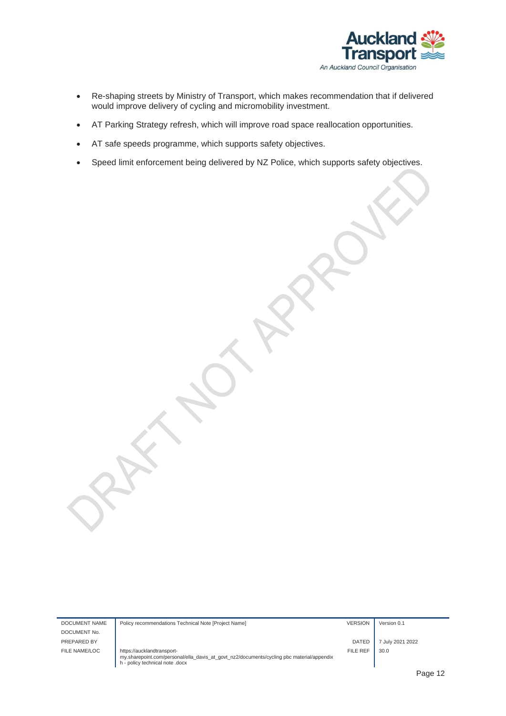

- Re-shaping streets by Ministry of Transport, which makes recommendation that if delivered would improve delivery of cycling and micromobility investment.
- AT Parking Strategy refresh, which will improve road space reallocation opportunities.
- AT safe speeds programme, which supports safety objectives.
- Speed limit enforcement being delivered by NZ Police, which supports safety objectives.

DOCUMENT NAME Policy recommendations Technical Note [Project Name] VERSION VERSION Version 0.1 DOCUMENT No. PREPARED BY **DATED** 7 July 2021 2022 FILE NAME/LOC https://aucklandtransport-my.sharepoint.com/personal/ella\_davis\_at\_govt\_nz2/documents/cycling pbc material/appendix h - policy technical note .docx FILE REF  $\Big|$  30.0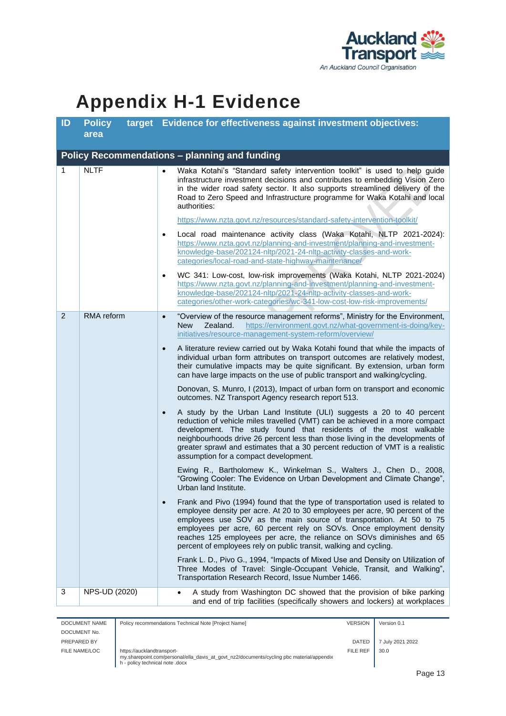

### <span id="page-12-0"></span>**Appendix H-1 Evidence**

| ID           | <b>Policy</b><br>area | target Evidence for effectiveness against investment objectives:                                                                                                                                                                                                                                                                                                                                                                                                                                                                                                                                                                                                                                                                                                                                                                                                                                                                                                                                                                                                                                                                                                                                                                                                                                                                                                                                                                                                                                                                                                                                                                                                                                                                                                                                                                                                                                                                                                                                                                                 |
|--------------|-----------------------|--------------------------------------------------------------------------------------------------------------------------------------------------------------------------------------------------------------------------------------------------------------------------------------------------------------------------------------------------------------------------------------------------------------------------------------------------------------------------------------------------------------------------------------------------------------------------------------------------------------------------------------------------------------------------------------------------------------------------------------------------------------------------------------------------------------------------------------------------------------------------------------------------------------------------------------------------------------------------------------------------------------------------------------------------------------------------------------------------------------------------------------------------------------------------------------------------------------------------------------------------------------------------------------------------------------------------------------------------------------------------------------------------------------------------------------------------------------------------------------------------------------------------------------------------------------------------------------------------------------------------------------------------------------------------------------------------------------------------------------------------------------------------------------------------------------------------------------------------------------------------------------------------------------------------------------------------------------------------------------------------------------------------------------------------|
|              |                       | Policy Recommendations - planning and funding                                                                                                                                                                                                                                                                                                                                                                                                                                                                                                                                                                                                                                                                                                                                                                                                                                                                                                                                                                                                                                                                                                                                                                                                                                                                                                                                                                                                                                                                                                                                                                                                                                                                                                                                                                                                                                                                                                                                                                                                    |
| $\mathbf{1}$ | <b>NLTF</b>           | Waka Kotahi's "Standard safety intervention toolkit" is used to help guide<br>$\bullet$<br>infrastructure investment decisions and contributes to embedding Vision Zero<br>in the wider road safety sector. It also supports streamlined delivery of the<br>Road to Zero Speed and Infrastructure programme for Waka Kotahi and local<br>authorities:<br>https://www.nzta.govt.nz/resources/standard-safety-intervention-toolkit/<br>Local road maintenance activity class (Waka Kotahi, NLTP 2021-2024):<br>$\bullet$<br>https://www.nzta.govt.nz/planning-and-investment/planning-and-investment-<br>knowledge-base/202124-nltp/2021-24-nltp-activity-classes-and-work-<br>categories/local-road-and-state-highway-maintenance/<br>WC 341: Low-cost, low-risk improvements (Waka Kotahi, NLTP 2021-2024)<br>$\bullet$<br>https://www.nzta.govt.nz/planning-and-investment/planning-and-investment-<br>knowledge-base/202124-nltp/2021-24-nltp-activity-classes-and-work-<br>categories/other-work-categories/wc-341-low-cost-low-risk-improvements/                                                                                                                                                                                                                                                                                                                                                                                                                                                                                                                                                                                                                                                                                                                                                                                                                                                                                                                                                                                            |
| 2            | RMA reform            | "Overview of the resource management reforms", Ministry for the Environment,<br>$\bullet$<br>https://environment.govt.nz/what-government-is-doing/key-<br><b>New</b><br>Zealand.<br>initiatives/resource-management-system-reform/overview/<br>A literature review carried out by Waka Kotahi found that while the impacts of<br>$\bullet$<br>individual urban form attributes on transport outcomes are relatively modest,<br>their cumulative impacts may be quite significant. By extension, urban form<br>can have large impacts on the use of public transport and walking/cycling.<br>Donovan, S. Munro, I (2013), Impact of urban form on transport and economic<br>outcomes. NZ Transport Agency research report 513.<br>A study by the Urban Land Institute (ULI) suggests a 20 to 40 percent<br>$\bullet$<br>reduction of vehicle miles travelled (VMT) can be achieved in a more compact<br>development. The study found that residents of the most walkable<br>neighbourhoods drive 26 percent less than those living in the developments of<br>greater sprawl and estimates that a 30 percent reduction of VMT is a realistic<br>assumption for a compact development.<br>Ewing R., Bartholomew K., Winkelman S., Walters J., Chen D., 2008,<br>"Growing Cooler: The Evidence on Urban Development and Climate Change",<br>Urban land Institute.<br>Frank and Pivo (1994) found that the type of transportation used is related to<br>employee density per acre. At 20 to 30 employees per acre, 90 percent of the<br>employees use SOV as the main source of transportation. At 50 to 75<br>employees per acre, 60 percent rely on SOVs. Once employment density<br>reaches 125 employees per acre, the reliance on SOVs diminishes and 65<br>percent of employees rely on public transit, walking and cycling.<br>Frank L. D., Pivo G., 1994, "Impacts of Mixed Use and Density on Utilization of<br>Three Modes of Travel: Single-Occupant Vehicle, Transit, and Walking",<br>Transportation Research Record, Issue Number 1466. |
| 3            | NPS-UD (2020)         | A study from Washington DC showed that the provision of bike parking<br>$\bullet$<br>and end of trip facilities (specifically showers and lockers) at workplaces                                                                                                                                                                                                                                                                                                                                                                                                                                                                                                                                                                                                                                                                                                                                                                                                                                                                                                                                                                                                                                                                                                                                                                                                                                                                                                                                                                                                                                                                                                                                                                                                                                                                                                                                                                                                                                                                                 |

**DOCUME** FILE NAM

| DOCUMENT NAME | Policy recommendations Technical Note [Project Name]                                                                                                       | <b>VERSION</b> | Version 0.1      |
|---------------|------------------------------------------------------------------------------------------------------------------------------------------------------------|----------------|------------------|
| DOCUMENT No.  |                                                                                                                                                            |                |                  |
| PREPARED BY   |                                                                                                                                                            | <b>DATED</b>   | 7 July 2021 2022 |
| FILE NAME/LOC | https://aucklandtransport-<br>my.sharepoint.com/personal/ella davis at govt nz2/documents/cycling pbc material/appendix<br>h - policy technical note .docx | FILE REF       | 30.0             |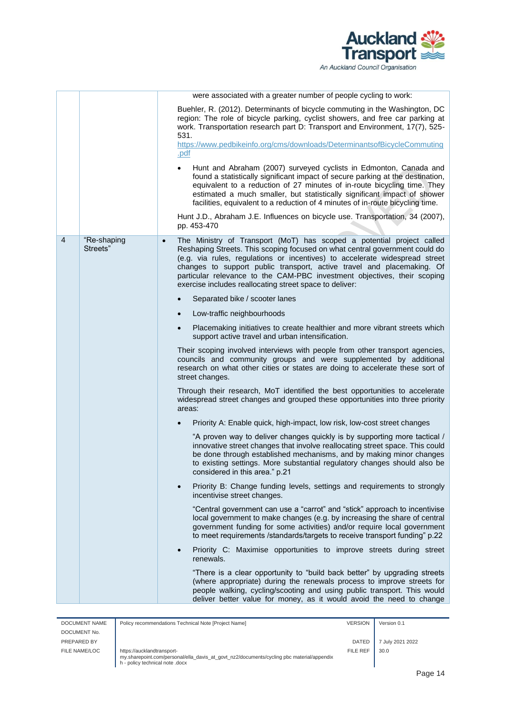

|   |                         | were associated with a greater number of people cycling to work:                                                                                                                                                                                                                                                                                                                                                                                                  |
|---|-------------------------|-------------------------------------------------------------------------------------------------------------------------------------------------------------------------------------------------------------------------------------------------------------------------------------------------------------------------------------------------------------------------------------------------------------------------------------------------------------------|
|   |                         | Buehler, R. (2012). Determinants of bicycle commuting in the Washington, DC<br>region: The role of bicycle parking, cyclist showers, and free car parking at<br>work. Transportation research part D: Transport and Environment, 17(7), 525-<br>531.<br>https://www.pedbikeinfo.org/cms/downloads/DeterminantsofBicycleCommuting<br>.pdf                                                                                                                          |
|   |                         | Hunt and Abraham (2007) surveyed cyclists in Edmonton, Canada and<br>$\bullet$<br>found a statistically significant impact of secure parking at the destination,<br>equivalent to a reduction of 27 minutes of in-route bicycling time. They<br>estimated a much smaller, but statistically significant impact of shower<br>facilities, equivalent to a reduction of 4 minutes of in-route bicycling time.                                                        |
|   |                         | Hunt J.D., Abraham J.E. Influences on bicycle use. Transportation, 34 (2007),<br>pp. 453-470                                                                                                                                                                                                                                                                                                                                                                      |
| 4 | "Re-shaping<br>Streets" | The Ministry of Transport (MoT) has scoped a potential project called<br>$\bullet$<br>Reshaping Streets. This scoping focused on what central government could do<br>(e.g. via rules, regulations or incentives) to accelerate widespread street<br>changes to support public transport, active travel and placemaking. Of<br>particular relevance to the CAM-PBC investment objectives, their scoping<br>exercise includes reallocating street space to deliver: |
|   |                         | Separated bike / scooter lanes<br>$\bullet$                                                                                                                                                                                                                                                                                                                                                                                                                       |
|   |                         | Low-traffic neighbourhoods<br>$\bullet$                                                                                                                                                                                                                                                                                                                                                                                                                           |
|   |                         | Placemaking initiatives to create healthier and more vibrant streets which<br>$\bullet$<br>support active travel and urban intensification.                                                                                                                                                                                                                                                                                                                       |
|   |                         | Their scoping involved interviews with people from other transport agencies,<br>councils and community groups and were supplemented by additional<br>research on what other cities or states are doing to accelerate these sort of<br>street changes.                                                                                                                                                                                                             |
|   |                         | Through their research, MoT identified the best opportunities to accelerate<br>widespread street changes and grouped these opportunities into three priority<br>areas:                                                                                                                                                                                                                                                                                            |
|   |                         | Priority A: Enable quick, high-impact, low risk, low-cost street changes                                                                                                                                                                                                                                                                                                                                                                                          |
|   |                         | "A proven way to deliver changes quickly is by supporting more tactical /<br>innovative street changes that involve reallocating street space. This could<br>be done through established mechanisms, and by making minor changes<br>to existing settings. More substantial regulatory changes should also be<br>considered in this area." p.21                                                                                                                    |
|   |                         | Priority B: Change funding levels, settings and requirements to strongly<br>$\bullet$<br>incentivise street changes.                                                                                                                                                                                                                                                                                                                                              |
|   |                         | "Central government can use a "carrot" and "stick" approach to incentivise<br>local government to make changes (e.g. by increasing the share of central<br>government funding for some activities) and/or require local government<br>to meet requirements /standards/targets to receive transport funding" p.22                                                                                                                                                  |
|   |                         | Priority C: Maximise opportunities to improve streets during street<br>$\bullet$<br>renewals.                                                                                                                                                                                                                                                                                                                                                                     |
|   |                         | "There is a clear opportunity to "build back better" by upgrading streets<br>(where appropriate) during the renewals process to improve streets for<br>people walking, cycling/scooting and using public transport. This would<br>deliver better value for money, as it would avoid the need to change                                                                                                                                                            |

| DOCUMENT NAME | Policy recommendations Technical Note [Project Name]                                                                                                       | <b>VERSION</b> | Version 0.1      |
|---------------|------------------------------------------------------------------------------------------------------------------------------------------------------------|----------------|------------------|
| DOCUMENT No.  |                                                                                                                                                            |                |                  |
| PREPARED BY   |                                                                                                                                                            | DATED          | 7 July 2021 2022 |
| FILE NAME/LOC | https://aucklandtransport-<br>my.sharepoint.com/personal/ella_davis_at_govt_nz2/documents/cycling pbc material/appendix<br>h - policy technical note .docx | FILE REF       | 30.0             |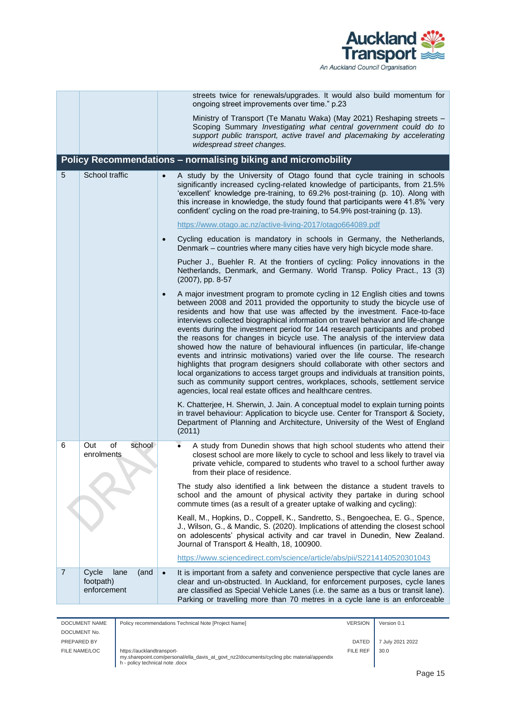

|                |                                                   | streets twice for renewals/upgrades. It would also build momentum for<br>ongoing street improvements over time." p.23                                                                                                                                                                                                                                                                                                                                                                                                                                                                                                                                                                                                                                                                                                                                                                                                                                                               |
|----------------|---------------------------------------------------|-------------------------------------------------------------------------------------------------------------------------------------------------------------------------------------------------------------------------------------------------------------------------------------------------------------------------------------------------------------------------------------------------------------------------------------------------------------------------------------------------------------------------------------------------------------------------------------------------------------------------------------------------------------------------------------------------------------------------------------------------------------------------------------------------------------------------------------------------------------------------------------------------------------------------------------------------------------------------------------|
|                |                                                   | Ministry of Transport (Te Manatu Waka) (May 2021) Reshaping streets -<br>Scoping Summary Investigating what central government could do to<br>support public transport, active travel and placemaking by accelerating<br>widespread street changes.                                                                                                                                                                                                                                                                                                                                                                                                                                                                                                                                                                                                                                                                                                                                 |
|                |                                                   | Policy Recommendations - normalising biking and micromobility                                                                                                                                                                                                                                                                                                                                                                                                                                                                                                                                                                                                                                                                                                                                                                                                                                                                                                                       |
| 5              | School traffic                                    | A study by the University of Otago found that cycle training in schools<br>$\bullet$<br>significantly increased cycling-related knowledge of participants, from 21.5%<br>'excellent' knowledge pre-training, to 69.2% post-training (p. 10). Along with<br>this increase in knowledge, the study found that participants were 41.8% 'very<br>confident' cycling on the road pre-training, to 54.9% post-training (p. 13).                                                                                                                                                                                                                                                                                                                                                                                                                                                                                                                                                           |
|                |                                                   | https://www.otago.ac.nz/active-living-2017/otago664089.pdf                                                                                                                                                                                                                                                                                                                                                                                                                                                                                                                                                                                                                                                                                                                                                                                                                                                                                                                          |
|                |                                                   | Cycling education is mandatory in schools in Germany, the Netherlands,<br>$\bullet$<br>Denmark - countries where many cities have very high bicycle mode share.                                                                                                                                                                                                                                                                                                                                                                                                                                                                                                                                                                                                                                                                                                                                                                                                                     |
|                |                                                   | Pucher J., Buehler R. At the frontiers of cycling: Policy innovations in the<br>Netherlands, Denmark, and Germany. World Transp. Policy Pract., 13 (3)<br>(2007), pp. 8-57                                                                                                                                                                                                                                                                                                                                                                                                                                                                                                                                                                                                                                                                                                                                                                                                          |
|                |                                                   | A major investment program to promote cycling in 12 English cities and towns<br>$\bullet$<br>between 2008 and 2011 provided the opportunity to study the bicycle use of<br>residents and how that use was affected by the investment. Face-to-face<br>interviews collected biographical information on travel behavior and life-change<br>events during the investment period for 144 research participants and probed<br>the reasons for changes in bicycle use. The analysis of the interview data<br>showed how the nature of behavioural influences (in particular, life-change<br>events and intrinsic motivations) varied over the life course. The research<br>highlights that program designers should collaborate with other sectors and<br>local organizations to access target groups and individuals at transition points,<br>such as community support centres, workplaces, schools, settlement service<br>agencies, local real estate offices and healthcare centres. |
|                |                                                   | K. Chatterjee, H. Sherwin, J. Jain. A conceptual model to explain turning points<br>in travel behaviour: Application to bicycle use. Center for Transport & Society,<br>Department of Planning and Architecture, University of the West of England<br>(2011)                                                                                                                                                                                                                                                                                                                                                                                                                                                                                                                                                                                                                                                                                                                        |
| 6              | of<br>school<br>Out<br>enrolments                 | A study from Dunedin shows that high school students who attend their<br>closest school are more likely to cycle to school and less likely to travel via<br>private vehicle, compared to students who travel to a school further away<br>from their place of residence.                                                                                                                                                                                                                                                                                                                                                                                                                                                                                                                                                                                                                                                                                                             |
|                |                                                   | The study also identified a link between the distance a student travels to<br>school and the amount of physical activity they partake in during school<br>commute times (as a result of a greater uptake of walking and cycling):                                                                                                                                                                                                                                                                                                                                                                                                                                                                                                                                                                                                                                                                                                                                                   |
|                |                                                   | Keall, M., Hopkins, D., Coppell, K., Sandretto, S., Bengoechea, E. G., Spence,<br>J., Wilson, G., & Mandic, S. (2020). Implications of attending the closest school<br>on adolescents' physical activity and car travel in Dunedin, New Zealand.<br>Journal of Transport & Health, 18, 100900.                                                                                                                                                                                                                                                                                                                                                                                                                                                                                                                                                                                                                                                                                      |
|                |                                                   | https://www.sciencedirect.com/science/article/abs/pii/S2214140520301043                                                                                                                                                                                                                                                                                                                                                                                                                                                                                                                                                                                                                                                                                                                                                                                                                                                                                                             |
| $\overline{7}$ | Cycle<br>lane<br>(and<br>footpath)<br>enforcement | It is important from a safety and convenience perspective that cycle lanes are<br>clear and un-obstructed. In Auckland, for enforcement purposes, cycle lanes<br>are classified as Special Vehicle Lanes (i.e. the same as a bus or transit lane).<br>Parking or travelling more than 70 metres in a cycle lane is an enforceable                                                                                                                                                                                                                                                                                                                                                                                                                                                                                                                                                                                                                                                   |

| DOCUMENT NAME | Policy recommendations Technical Note [Project Name]                                                                                                       | <b>VERSION</b>  | Version 0.1      |
|---------------|------------------------------------------------------------------------------------------------------------------------------------------------------------|-----------------|------------------|
| DOCUMENT No.  |                                                                                                                                                            |                 |                  |
| PREPARED BY   |                                                                                                                                                            | <b>DATED</b>    | 7 July 2021 2022 |
| FILE NAME/LOC | https://aucklandtransport-<br>my.sharepoint.com/personal/ella davis at govt nz2/documents/cycling pbc material/appendix<br>h - policy technical note .docx | <b>FILE REF</b> | 30.0             |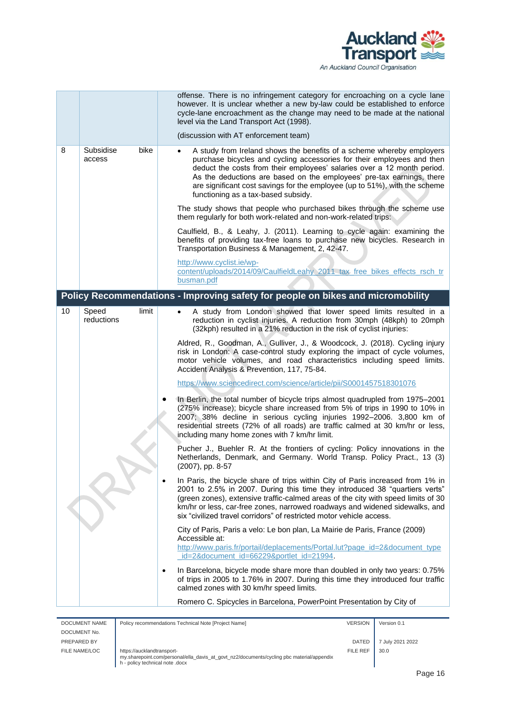

|    |                             | offense. There is no infringement category for encroaching on a cycle lane<br>however. It is unclear whether a new by-law could be established to enforce<br>cycle-lane encroachment as the change may need to be made at the national<br>level via the Land Transport Act (1998).                                                                                                                                                    |
|----|-----------------------------|---------------------------------------------------------------------------------------------------------------------------------------------------------------------------------------------------------------------------------------------------------------------------------------------------------------------------------------------------------------------------------------------------------------------------------------|
|    |                             | (discussion with AT enforcement team)                                                                                                                                                                                                                                                                                                                                                                                                 |
| 8  | Subsidise<br>bike<br>access | A study from Ireland shows the benefits of a scheme whereby employers<br>$\bullet$<br>purchase bicycles and cycling accessories for their employees and then<br>deduct the costs from their employees' salaries over a 12 month period.<br>As the deductions are based on the employees' pre-tax earnings, there<br>are significant cost savings for the employee (up to 51%), with the scheme<br>functioning as a tax-based subsidy. |
|    |                             | The study shows that people who purchased bikes through the scheme use<br>them regularly for both work-related and non-work-related trips:                                                                                                                                                                                                                                                                                            |
|    |                             | Caulfield, B., & Leahy, J. (2011). Learning to cycle again: examining the<br>benefits of providing tax-free loans to purchase new bicycles. Research in<br>Transportation Business & Management, 2, 42-47.                                                                                                                                                                                                                            |
|    |                             | http://www.cyclist.ie/wp-                                                                                                                                                                                                                                                                                                                                                                                                             |
|    |                             | content/uploads/2014/09/CaulfieldLeahy 2011 tax free bikes effects rsch tr<br>busman.pdf                                                                                                                                                                                                                                                                                                                                              |
|    |                             | Policy Recommendations - Improving safety for people on bikes and micromobility                                                                                                                                                                                                                                                                                                                                                       |
| 10 | Speed<br>limit              | A study from London showed that lower speed limits resulted in a                                                                                                                                                                                                                                                                                                                                                                      |
|    | reductions                  | reduction in cyclist injuries. A reduction from 30mph (48kph) to 20mph<br>(32kph) resulted in a 21% reduction in the risk of cyclist injuries:                                                                                                                                                                                                                                                                                        |
|    |                             | Aldred, R., Goodman, A., Gulliver, J., & Woodcock, J. (2018). Cycling injury<br>risk in London: A case-control study exploring the impact of cycle volumes,<br>motor vehicle volumes, and road characteristics including speed limits.<br>Accident Analysis & Prevention, 117, 75-84.                                                                                                                                                 |
|    |                             | https://www.sciencedirect.com/science/article/pii/S0001457518301076                                                                                                                                                                                                                                                                                                                                                                   |
|    |                             | In Berlin, the total number of bicycle trips almost quadrupled from 1975-2001<br>(275% increase); bicycle share increased from 5% of trips in 1990 to 10% in<br>2007; 38% decline in serious cycling injuries 1992-2006. 3,800 km of<br>residential streets (72% of all roads) are traffic calmed at 30 km/hr or less,<br>including many home zones with 7 km/hr limit.                                                               |
|    |                             | Pucher J., Buehler R. At the frontiers of cycling: Policy innovations in the<br>Netherlands, Denmark, and Germany. World Transp. Policy Pract., 13 (3)<br>(2007), pp. 8-57                                                                                                                                                                                                                                                            |
|    |                             | In Paris, the bicycle share of trips within City of Paris increased from 1% in<br>$\bullet$<br>2001 to 2.5% in 2007. During this time they introduced 38 "quartiers verts"<br>(green zones), extensive traffic-calmed areas of the city with speed limits of 30<br>km/hr or less, car-free zones, narrowed roadways and widened sidewalks, and<br>six "civilized travel corridors" of restricted motor vehicle access.                |
|    |                             | City of Paris, Paris a velo: Le bon plan, La Mairie de Paris, France (2009)<br>Accessible at:<br>http://www.paris.fr/portail/deplacements/Portal.lut?page_id=2&document_type<br>id=2&document_id=66229&portlet_id=21994.                                                                                                                                                                                                              |
|    |                             | In Barcelona, bicycle mode share more than doubled in only two years: 0.75%<br>$\bullet$<br>of trips in 2005 to 1.76% in 2007. During this time they introduced four traffic<br>calmed zones with 30 km/hr speed limits.                                                                                                                                                                                                              |
|    |                             | Romero C. Spicycles in Barcelona, PowerPoint Presentation by City of                                                                                                                                                                                                                                                                                                                                                                  |

| DOCUMENT NAME | Policy recommendations Technical Note [Project Name]                                                                                                       | <b>VERSION</b> | Version 0.1      |
|---------------|------------------------------------------------------------------------------------------------------------------------------------------------------------|----------------|------------------|
| DOCUMENT No.  |                                                                                                                                                            |                |                  |
| PREPARED BY   |                                                                                                                                                            | <b>DATED</b>   | 7 July 2021 2022 |
| FILE NAME/LOC | https://aucklandtransport-<br>my.sharepoint.com/personal/ella_davis_at_govt_nz2/documents/cycling pbc material/appendix<br>h - policy technical note .docx | FILE REF       | 30.0             |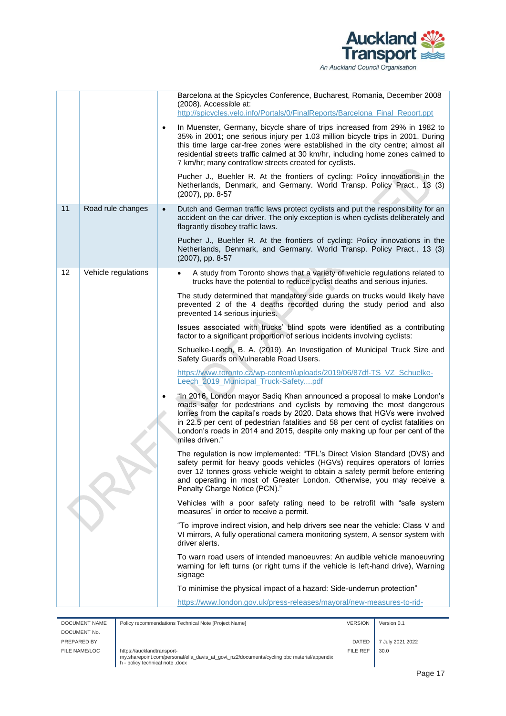

|    |                     |           | Barcelona at the Spicycles Conference, Bucharest, Romania, December 2008                                                                                                                                                                                                                                                                                                                                                   |
|----|---------------------|-----------|----------------------------------------------------------------------------------------------------------------------------------------------------------------------------------------------------------------------------------------------------------------------------------------------------------------------------------------------------------------------------------------------------------------------------|
|    |                     |           | (2008). Accessible at:<br>http://spicycles.velo.info/Portals/0/FinalReports/Barcelona_Final_Report.ppt                                                                                                                                                                                                                                                                                                                     |
|    |                     | $\bullet$ | In Muenster, Germany, bicycle share of trips increased from 29% in 1982 to<br>35% in 2001; one serious injury per 1.03 million bicycle trips in 2001. During<br>this time large car-free zones were established in the city centre; almost all<br>residential streets traffic calmed at 30 km/hr, including home zones calmed to<br>7 km/hr; many contraflow streets created for cyclists.                                 |
|    |                     |           | Pucher J., Buehler R. At the frontiers of cycling: Policy innovations in the<br>Netherlands, Denmark, and Germany. World Transp. Policy Pract., 13 (3)<br>(2007), pp. 8-57                                                                                                                                                                                                                                                 |
| 11 | Road rule changes   | $\bullet$ | Dutch and German traffic laws protect cyclists and put the responsibility for an<br>accident on the car driver. The only exception is when cyclists deliberately and<br>flagrantly disobey traffic laws.                                                                                                                                                                                                                   |
|    |                     |           | Pucher J., Buehler R. At the frontiers of cycling: Policy innovations in the<br>Netherlands, Denmark, and Germany. World Transp. Policy Pract., 13 (3)<br>(2007), pp. 8-57                                                                                                                                                                                                                                                 |
| 12 | Vehicle regulations |           | A study from Toronto shows that a variety of vehicle regulations related to<br>$\bullet$<br>trucks have the potential to reduce cyclist deaths and serious injuries.                                                                                                                                                                                                                                                       |
|    |                     |           | The study determined that mandatory side guards on trucks would likely have<br>prevented 2 of the 4 deaths recorded during the study period and also<br>prevented 14 serious injuries.                                                                                                                                                                                                                                     |
|    |                     |           | Issues associated with trucks' blind spots were identified as a contributing<br>factor to a significant proportion of serious incidents involving cyclists:                                                                                                                                                                                                                                                                |
|    |                     |           | Schuelke-Leech, B. A. (2019). An Investigation of Municipal Truck Size and<br>Safety Guards on Vulnerable Road Users.                                                                                                                                                                                                                                                                                                      |
|    |                     |           | https://www.toronto.ca/wp-content/uploads/2019/06/87df-TS_VZ_Schuelke-<br>Leech 2019 Municipal Truck-Safetypdf                                                                                                                                                                                                                                                                                                             |
|    |                     | $\bullet$ | "In 2016, London mayor Sadiq Khan announced a proposal to make London's<br>roads safer for pedestrians and cyclists by removing the most dangerous<br>lorries from the capital's roads by 2020. Data shows that HGVs were involved<br>in 22.5 per cent of pedestrian fatalities and 58 per cent of cyclist fatalities on<br>London's roads in 2014 and 2015, despite only making up four per cent of the<br>miles driven." |
|    |                     |           | The regulation is now implemented: "TFL's Direct Vision Standard (DVS) and<br>safety permit for heavy goods vehicles (HGVs) requires operators of lorries<br>over 12 tonnes gross vehicle weight to obtain a safety permit before entering<br>and operating in most of Greater London. Otherwise, you may receive a<br>Penalty Charge Notice (PCN)."                                                                       |
|    |                     |           | Vehicles with a poor safety rating need to be retrofit with "safe system<br>measures" in order to receive a permit.                                                                                                                                                                                                                                                                                                        |
|    |                     |           | "To improve indirect vision, and help drivers see near the vehicle: Class V and<br>VI mirrors, A fully operational camera monitoring system, A sensor system with<br>driver alerts.                                                                                                                                                                                                                                        |
|    |                     |           | To warn road users of intended manoeuvres: An audible vehicle manoeuvring<br>warning for left turns (or right turns if the vehicle is left-hand drive), Warning<br>signage                                                                                                                                                                                                                                                 |
|    |                     |           | To minimise the physical impact of a hazard: Side-underrun protection"                                                                                                                                                                                                                                                                                                                                                     |
|    |                     |           | https://www.london.gov.uk/press-releases/mayoral/new-measures-to-rid-                                                                                                                                                                                                                                                                                                                                                      |

| DOCUMENT NAME | Policy recommendations Technical Note [Project Name]                                                                                                       | <b>VERSION</b> | Version 0.1      |
|---------------|------------------------------------------------------------------------------------------------------------------------------------------------------------|----------------|------------------|
| DOCUMENT No.  |                                                                                                                                                            |                |                  |
| PREPARED BY   |                                                                                                                                                            | <b>DATED</b>   | 7 July 2021 2022 |
| FILE NAME/LOC | https://aucklandtransport-<br>my.sharepoint.com/personal/ella_davis_at_govt_nz2/documents/cycling pbc material/appendix<br>h - policy technical note .docx | FILE REF       | 30.0             |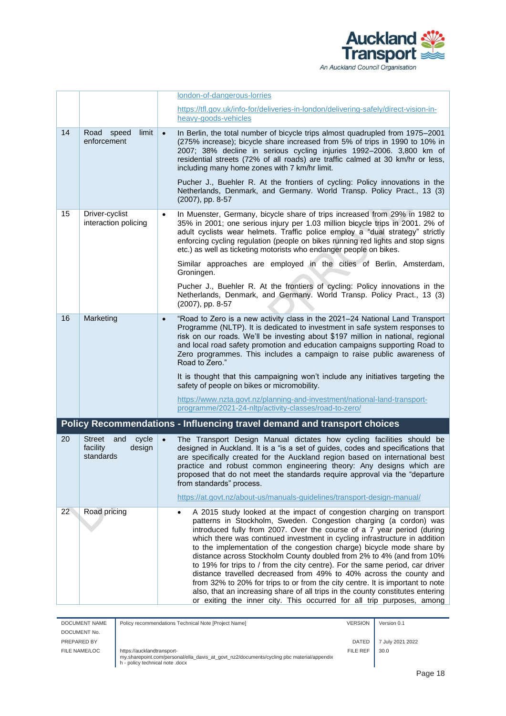

|                                                |                                                                  | london-of-dangerous-lorries                                                                                                                                                                                                                                                                                                                                                                                                                                                                                                                                                                                                                                                                                                                                                                                                                           |                                                                                 |  |
|------------------------------------------------|------------------------------------------------------------------|-------------------------------------------------------------------------------------------------------------------------------------------------------------------------------------------------------------------------------------------------------------------------------------------------------------------------------------------------------------------------------------------------------------------------------------------------------------------------------------------------------------------------------------------------------------------------------------------------------------------------------------------------------------------------------------------------------------------------------------------------------------------------------------------------------------------------------------------------------|---------------------------------------------------------------------------------|--|
|                                                |                                                                  | https://tfl.gov.uk/info-for/deliveries-in-london/delivering-safely/direct-vision-in-<br>heavy-goods-vehicles                                                                                                                                                                                                                                                                                                                                                                                                                                                                                                                                                                                                                                                                                                                                          |                                                                                 |  |
| 14                                             | Road<br>speed<br>limit<br>enforcement                            | In Berlin, the total number of bicycle trips almost quadrupled from 1975-2001<br>$\bullet$<br>(275% increase); bicycle share increased from 5% of trips in 1990 to 10% in<br>2007; 38% decline in serious cycling injuries 1992-2006. 3,800 km of<br>residential streets (72% of all roads) are traffic calmed at 30 km/hr or less,<br>including many home zones with 7 km/hr limit.<br>Pucher J., Buehler R. At the frontiers of cycling: Policy innovations in the<br>Netherlands, Denmark, and Germany. World Transp. Policy Pract., 13 (3)<br>(2007), pp. 8-57                                                                                                                                                                                                                                                                                    |                                                                                 |  |
| 15                                             | Driver-cyclist                                                   | In Muenster, Germany, bicycle share of trips increased from 29% in 1982 to                                                                                                                                                                                                                                                                                                                                                                                                                                                                                                                                                                                                                                                                                                                                                                            |                                                                                 |  |
| $\bullet$<br>interaction policing              |                                                                  | 35% in 2001; one serious injury per 1.03 million bicycle trips in 2001. 2% of<br>adult cyclists wear helmets. Traffic police employ a "dual strategy" strictly<br>enforcing cycling regulation (people on bikes running red lights and stop signs<br>etc.) as well as ticketing motorists who endanger people on bikes.                                                                                                                                                                                                                                                                                                                                                                                                                                                                                                                               |                                                                                 |  |
|                                                |                                                                  | Similar approaches are employed in the cities of Berlin, Amsterdam,<br>Groningen.                                                                                                                                                                                                                                                                                                                                                                                                                                                                                                                                                                                                                                                                                                                                                                     |                                                                                 |  |
|                                                |                                                                  | Pucher J., Buehler R. At the frontiers of cycling: Policy innovations in the<br>Netherlands, Denmark, and Germany. World Transp. Policy Pract., 13 (3)<br>(2007), pp. 8-57                                                                                                                                                                                                                                                                                                                                                                                                                                                                                                                                                                                                                                                                            |                                                                                 |  |
| 16<br>Marketing<br>$\bullet$<br>Road to Zero." |                                                                  | "Road to Zero is a new activity class in the 2021-24 National Land Transport<br>Programme (NLTP). It is dedicated to investment in safe system responses to<br>risk on our roads. We'll be investing about \$197 million in national, regional<br>and local road safety promotion and education campaigns supporting Road to<br>Zero programmes. This includes a campaign to raise public awareness of                                                                                                                                                                                                                                                                                                                                                                                                                                                |                                                                                 |  |
|                                                |                                                                  | safety of people on bikes or micromobility.                                                                                                                                                                                                                                                                                                                                                                                                                                                                                                                                                                                                                                                                                                                                                                                                           | It is thought that this campaigning won't include any initiatives targeting the |  |
|                                                |                                                                  | https://www.nzta.govt.nz/planning-and-investment/national-land-transport-<br>programme/2021-24-nltp/activity-classes/road-to-zero/                                                                                                                                                                                                                                                                                                                                                                                                                                                                                                                                                                                                                                                                                                                    |                                                                                 |  |
|                                                |                                                                  | Policy Recommendations - Influencing travel demand and transport choices                                                                                                                                                                                                                                                                                                                                                                                                                                                                                                                                                                                                                                                                                                                                                                              |                                                                                 |  |
| 20                                             | <b>Street</b><br>and<br>cycle<br>facility<br>design<br>standards | $\bullet$<br>The Transport Design Manual dictates how cycling facilities should be<br>designed in Auckland. It is a "is a set of guides, codes and specifications that<br>are specifically created for the Auckland region based on international best<br>practice and robust common engineering theory: Any designs which are<br>proposed that do not meet the standards require approval via the "departure<br>from standards" process.                                                                                                                                                                                                                                                                                                                                                                                                             |                                                                                 |  |
|                                                |                                                                  | https://at.govt.nz/about-us/manuals-guidelines/transport-design-manual/                                                                                                                                                                                                                                                                                                                                                                                                                                                                                                                                                                                                                                                                                                                                                                               |                                                                                 |  |
| 22                                             | Road pricing                                                     | A 2015 study looked at the impact of congestion charging on transport<br>patterns in Stockholm, Sweden. Congestion charging (a cordon) was<br>introduced fully from 2007. Over the course of a 7 year period (during<br>which there was continued investment in cycling infrastructure in addition<br>to the implementation of the congestion charge) bicycle mode share by<br>distance across Stockholm County doubled from 2% to 4% (and from 10%<br>to 19% for trips to / from the city centre). For the same period, car driver<br>distance travelled decreased from 49% to 40% across the county and<br>from 32% to 20% for trips to or from the city centre. It is important to note<br>also, that an increasing share of all trips in the county constitutes entering<br>or exiting the inner city. This occurred for all trip purposes, among |                                                                                 |  |

| <b>DOCUMENT NAME</b> | Policy recommendations Technical Note [Project Name]                                                                                                       | <b>VERSION</b> | Version 0.1      |
|----------------------|------------------------------------------------------------------------------------------------------------------------------------------------------------|----------------|------------------|
| DOCUMENT No.         |                                                                                                                                                            |                |                  |
| PREPARED BY          |                                                                                                                                                            | <b>DATED</b>   | 7 July 2021 2022 |
| FILE NAME/LOC        | https://aucklandtransport-<br>my.sharepoint.com/personal/ella_davis_at_govt_nz2/documents/cycling pbc material/appendix<br>h - policy technical note .docx | FILE REF       | 30.0             |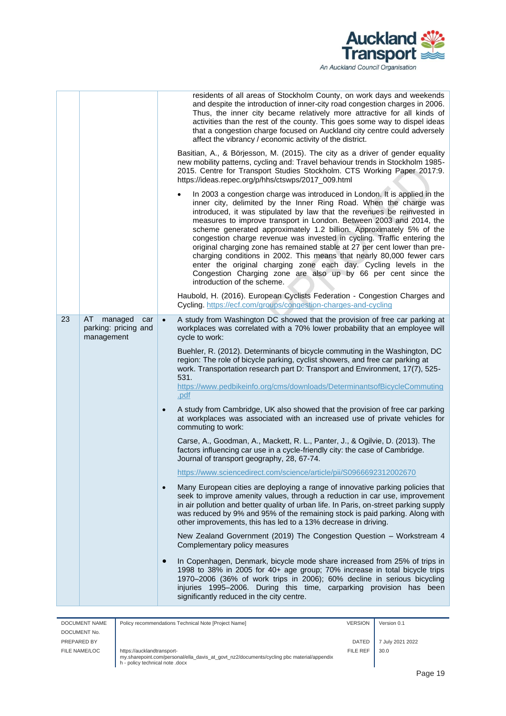

|          |                                                      |                                                  | residents of all areas of Stockholm County, on work days and weekends<br>and despite the introduction of inner-city road congestion charges in 2006.<br>Thus, the inner city became relatively more attractive for all kinds of<br>activities than the rest of the county. This goes some way to dispel ideas<br>that a congestion charge focused on Auckland city centre could adversely<br>affect the vibrancy / economic activity of the district.<br>Basitian, A., & Börjesson, M. (2015). The city as a driver of gender equality<br>new mobility patterns, cycling and: Travel behaviour trends in Stockholm 1985-<br>2015. Centre for Transport Studies Stockholm. CTS Working Paper 2017:9.<br>https://ideas.repec.org/p/hhs/ctswps/2017_009.html<br>In 2003 a congestion charge was introduced in London. It is applied in the<br>inner city, delimited by the Inner Ring Road. When the charge was<br>introduced, it was stipulated by law that the revenues be reinvested in<br>measures to improve transport in London. Between 2003 and 2014, the<br>scheme generated approximately 1.2 billion. Approximately 5% of the<br>congestion charge revenue was invested in cycling. Traffic entering the<br>original charging zone has remained stable at 27 per cent lower than pre-<br>charging conditions in 2002. This means that nearly 80,000 fewer cars<br>enter the original charging zone each day. Cycling levels in the<br>Congestion Charging zone are also up by 66 per cent since the<br>introduction of the scheme.<br>Haubold, H. (2016). European Cyclists Federation - Congestion Charges and                                                                                                                                                                                                                                                             |
|----------|------------------------------------------------------|--------------------------------------------------|-------------------------------------------------------------------------------------------------------------------------------------------------------------------------------------------------------------------------------------------------------------------------------------------------------------------------------------------------------------------------------------------------------------------------------------------------------------------------------------------------------------------------------------------------------------------------------------------------------------------------------------------------------------------------------------------------------------------------------------------------------------------------------------------------------------------------------------------------------------------------------------------------------------------------------------------------------------------------------------------------------------------------------------------------------------------------------------------------------------------------------------------------------------------------------------------------------------------------------------------------------------------------------------------------------------------------------------------------------------------------------------------------------------------------------------------------------------------------------------------------------------------------------------------------------------------------------------------------------------------------------------------------------------------------------------------------------------------------------------------------------------------------------------------------------------------------------------------------------------------------------------|
|          |                                                      |                                                  | Cycling. https://ecf.com/groups/congestion-charges-and-cycling                                                                                                                                                                                                                                                                                                                                                                                                                                                                                                                                                                                                                                                                                                                                                                                                                                                                                                                                                                                                                                                                                                                                                                                                                                                                                                                                                                                                                                                                                                                                                                                                                                                                                                                                                                                                                      |
| 23<br>AT | managed<br>car<br>parking: pricing and<br>management | $\bullet$<br>$\bullet$<br>$\bullet$<br>$\bullet$ | A study from Washington DC showed that the provision of free car parking at<br>workplaces was correlated with a 70% lower probability that an employee will<br>cycle to work:<br>Buehler, R. (2012). Determinants of bicycle commuting in the Washington, DC<br>region: The role of bicycle parking, cyclist showers, and free car parking at<br>work. Transportation research part D: Transport and Environment, 17(7), 525-<br>531.<br>https://www.pedbikeinfo.org/cms/downloads/DeterminantsofBicycleCommuting<br>.pdf<br>A study from Cambridge, UK also showed that the provision of free car parking<br>at workplaces was associated with an increased use of private vehicles for<br>commuting to work:<br>Carse, A., Goodman, A., Mackett, R. L., Panter, J., & Ogilvie, D. (2013). The<br>factors influencing car use in a cycle-friendly city: the case of Cambridge.<br>Journal of transport geography, 28, 67-74.<br>https://www.sciencedirect.com/science/article/pii/S0966692312002670<br>Many European cities are deploying a range of innovative parking policies that<br>seek to improve amenity values, through a reduction in car use, improvement<br>in air pollution and better quality of urban life. In Paris, on-street parking supply<br>was reduced by 9% and 95% of the remaining stock is paid parking. Along with<br>other improvements, this has led to a 13% decrease in driving.<br>New Zealand Government (2019) The Congestion Question - Workstream 4<br>Complementary policy measures<br>In Copenhagen, Denmark, bicycle mode share increased from 25% of trips in<br>1998 to 38% in 2005 for 40+ age group; 70% increase in total bicycle trips<br>1970-2006 (36% of work trips in 2006); 60% decline in serious bicycling<br>injuries 1995-2006. During this time, carparking provision has been<br>significantly reduced in the city centre. |

| DOCUMENT NAME | Policy recommendations Technical Note [Project Name]                                                                                                       | <b>VERSION</b> | Version 0.1      |
|---------------|------------------------------------------------------------------------------------------------------------------------------------------------------------|----------------|------------------|
| DOCUMENT No.  |                                                                                                                                                            |                |                  |
| PREPARED BY   |                                                                                                                                                            | <b>DATED</b>   | 7 July 2021 2022 |
| FILE NAME/LOC | https://aucklandtransport-<br>my.sharepoint.com/personal/ella_davis_at_govt_nz2/documents/cycling pbc material/appendix<br>h - policy technical note .docx | FILE REF       | 30.0             |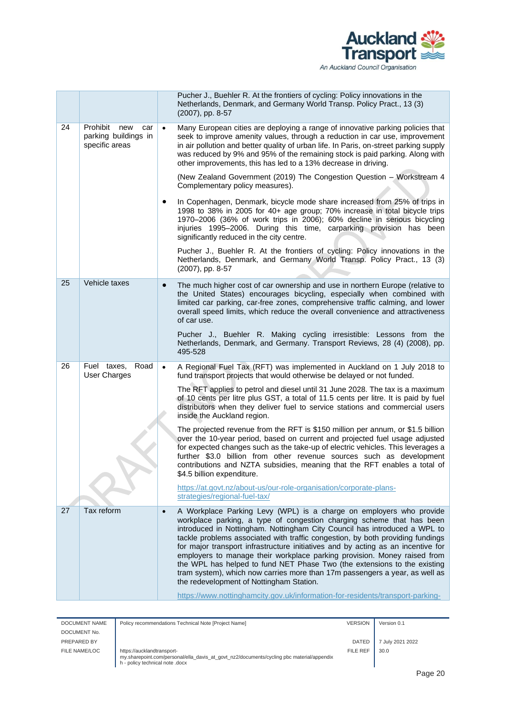

|    |    |                                                                  |           | Pucher J., Buehler R. At the frontiers of cycling: Policy innovations in the<br>Netherlands, Denmark, and Germany World Transp. Policy Pract., 13 (3)<br>(2007), pp. 8-57                                                                                                                                                                                                                                                                                                                                                                                                                                                                                                          |
|----|----|------------------------------------------------------------------|-----------|------------------------------------------------------------------------------------------------------------------------------------------------------------------------------------------------------------------------------------------------------------------------------------------------------------------------------------------------------------------------------------------------------------------------------------------------------------------------------------------------------------------------------------------------------------------------------------------------------------------------------------------------------------------------------------|
| 24 |    | Prohibit<br>new<br>car<br>parking buildings in<br>specific areas | $\bullet$ | Many European cities are deploying a range of innovative parking policies that<br>seek to improve amenity values, through a reduction in car use, improvement<br>in air pollution and better quality of urban life. In Paris, on-street parking supply<br>was reduced by 9% and 95% of the remaining stock is paid parking. Along with<br>other improvements, this has led to a 13% decrease in driving.                                                                                                                                                                                                                                                                           |
|    |    |                                                                  |           | (New Zealand Government (2019) The Congestion Question - Workstream 4<br>Complementary policy measures).                                                                                                                                                                                                                                                                                                                                                                                                                                                                                                                                                                           |
|    |    |                                                                  | $\bullet$ | In Copenhagen, Denmark, bicycle mode share increased from 25% of trips in<br>1998 to 38% in 2005 for 40+ age group; 70% increase in total bicycle trips<br>1970-2006 (36% of work trips in 2006); 60% decline in serious bicycling<br>injuries 1995-2006. During this time, carparking provision has been<br>significantly reduced in the city centre.                                                                                                                                                                                                                                                                                                                             |
|    |    |                                                                  |           | Pucher J., Buehler R. At the frontiers of cycling: Policy innovations in the<br>Netherlands, Denmark, and Germany World Transp. Policy Pract., 13 (3)<br>(2007), pp. 8-57                                                                                                                                                                                                                                                                                                                                                                                                                                                                                                          |
|    | 25 | Vehicle taxes                                                    | $\bullet$ | The much higher cost of car ownership and use in northern Europe (relative to<br>the United States) encourages bicycling, especially when combined with<br>limited car parking, car-free zones, comprehensive traffic calming, and lower<br>overall speed limits, which reduce the overall convenience and attractiveness<br>of car use.                                                                                                                                                                                                                                                                                                                                           |
|    |    |                                                                  |           | Pucher J., Buehler R. Making cycling irresistible: Lessons from the<br>Netherlands, Denmark, and Germany. Transport Reviews, 28 (4) (2008), pp.<br>495-528                                                                                                                                                                                                                                                                                                                                                                                                                                                                                                                         |
|    | 26 | Fuel taxes,<br>Road<br>User Charges                              | $\bullet$ | A Regional Fuel Tax (RFT) was implemented in Auckland on 1 July 2018 to<br>fund transport projects that would otherwise be delayed or not funded.                                                                                                                                                                                                                                                                                                                                                                                                                                                                                                                                  |
|    |    |                                                                  |           | The RFT applies to petrol and diesel until 31 June 2028. The tax is a maximum<br>of 10 cents per litre plus GST, a total of 11.5 cents per litre. It is paid by fuel<br>distributors when they deliver fuel to service stations and commercial users<br>inside the Auckland region.                                                                                                                                                                                                                                                                                                                                                                                                |
|    |    |                                                                  |           | The projected revenue from the RFT is \$150 million per annum, or \$1.5 billion<br>over the 10-year period, based on current and projected fuel usage adjusted<br>for expected changes such as the take-up of electric vehicles. This leverages a<br>further \$3.0 billion from other revenue sources such as development<br>contributions and NZTA subsidies, meaning that the RFT enables a total of<br>\$4.5 billion expenditure.                                                                                                                                                                                                                                               |
|    |    |                                                                  |           | https://at.govt.nz/about-us/our-role-organisation/corporate-plans-<br>strategies/regional-fuel-tax/                                                                                                                                                                                                                                                                                                                                                                                                                                                                                                                                                                                |
|    | 27 | Tax reform                                                       | $\bullet$ | A Workplace Parking Levy (WPL) is a charge on employers who provide<br>workplace parking, a type of congestion charging scheme that has been<br>introduced in Nottingham. Nottingham City Council has introduced a WPL to<br>tackle problems associated with traffic congestion, by both providing fundings<br>for major transport infrastructure initiatives and by acting as an incentive for<br>employers to manage their workplace parking provision. Money raised from<br>the WPL has helped to fund NET Phase Two (the extensions to the existing<br>tram system), which now carries more than 17m passengers a year, as well as<br>the redevelopment of Nottingham Station. |
|    |    |                                                                  |           | https://www.nottinghamcity.gov.uk/information-for-residents/transport-parking-                                                                                                                                                                                                                                                                                                                                                                                                                                                                                                                                                                                                     |

| DOCUMENT NAME | Policy recommendations Technical Note [Project Name]                                                                                                       | <b>VERSION</b> | Version 0.1      |
|---------------|------------------------------------------------------------------------------------------------------------------------------------------------------------|----------------|------------------|
| DOCUMENT No.  |                                                                                                                                                            |                |                  |
| PREPARED BY   |                                                                                                                                                            | <b>DATED</b>   | 7 July 2021 2022 |
| FILE NAME/LOC | https://aucklandtransport-<br>my.sharepoint.com/personal/ella_davis_at_govt_nz2/documents/cycling pbc material/appendix<br>h - policy technical note .docx | FILE REF       | 30.0             |